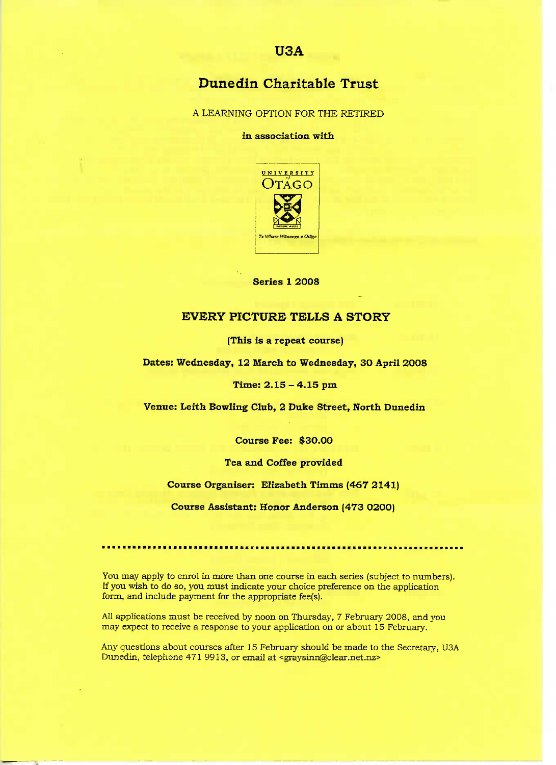# **Dune din Charitable Trust**

A LEARNING OPTION FOR THE RETIRED

in association with



**Series 1 2008**

# **EVERY PICTURE TELLS A STORY**

**(This is a repeat course)**

**Dates: Wednesday, 12 March to Wednesday, 30 April 2008**

### **Time: 2.15 - 4.15 pm**

**Venue: Leith Bowling Club, 2 Duke Street, North Dunedin**

**Course Fee: \$30.00**

## **Tea and Coffee provided**

Course Organiser: Elizabeth Timms (467 2141)

**Course Assistant: Honor Anderson (473 0200)**

You may apply to enrol in more than one course in each series (subject to numbers). If you wish to do so, you must indicate your choice preference on the application form, and include payment for the appropriate fee(s).

All applications must be received by noon on Thursday, 7 February 2008, and you may expect to receive a response to your application on or about 15 February.

Any questions about courses after 15 February should be made to the Secretary, USA Dunedin, telephone 471 9913, or email at <graysinn@clear.net.nz>